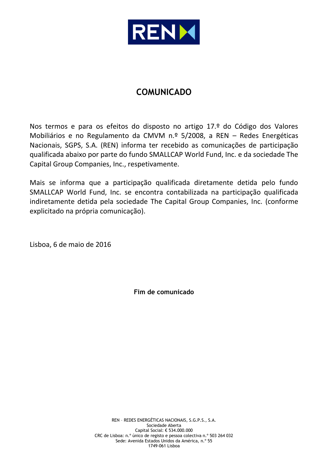

# **COMUNICADO**

Nos termos e para os efeitos do disposto no artigo 17.º do Código dos Valores Mobiliários e no Regulamento da CMVM n.º 5/2008, a REN – Redes Energéticas Nacionais, SGPS, S.A. (REN) informa ter recebido as comunicações de participação qualificada abaixo por parte do fundo SMALLCAP World Fund, Inc. e da sociedade The Capital Group Companies, Inc., respetivamente.

Mais se informa que a participação qualificada diretamente detida pelo fundo SMALLCAP World Fund, Inc. se encontra contabilizada na participação qualificada indiretamente detida pela sociedade The Capital Group Companies, Inc. (conforme explicitado na própria comunicação).

Lisboa, 6 de maio de 2016

**Fim de comunicado**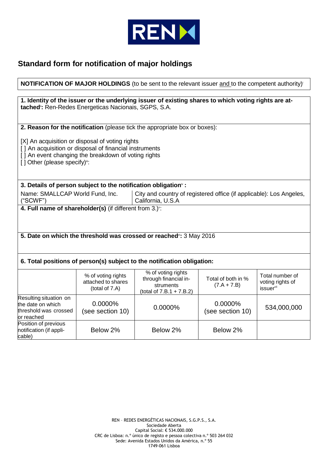

# **Standard form for notification of major holdings**

| <b>NOTIFICATION OF MAJOR HOLDINGS</b> (to be sent to the relevant issuer and to the competent authority)                                                                   |                                                                                                                                                                  |                                                                                                      |                                     |                                                              |  |  |  |
|----------------------------------------------------------------------------------------------------------------------------------------------------------------------------|------------------------------------------------------------------------------------------------------------------------------------------------------------------|------------------------------------------------------------------------------------------------------|-------------------------------------|--------------------------------------------------------------|--|--|--|
|                                                                                                                                                                            |                                                                                                                                                                  |                                                                                                      |                                     |                                                              |  |  |  |
|                                                                                                                                                                            | tached": Ren-Redes Energeticas Nacionais, SGPS, S.A.                                                                                                             | 1. Identity of the issuer or the underlying issuer of existing shares to which voting rights are at- |                                     |                                                              |  |  |  |
|                                                                                                                                                                            |                                                                                                                                                                  | 2. Reason for the notification (please tick the appropriate box or boxes):                           |                                     |                                                              |  |  |  |
| [] Other (please specify)":                                                                                                                                                | [X] An acquisition or disposal of voting rights<br>[] An acquisition or disposal of financial instruments<br>[] An event changing the breakdown of voting rights |                                                                                                      |                                     |                                                              |  |  |  |
|                                                                                                                                                                            | 3. Details of person subject to the notification obligation <sup>®</sup> :                                                                                       |                                                                                                      |                                     |                                                              |  |  |  |
| Name: SMALLCAP World Fund, Inc.<br>("SCWF")                                                                                                                                |                                                                                                                                                                  | City and country of registered office (if applicable): Los Angeles,<br>California, U.S.A             |                                     |                                                              |  |  |  |
|                                                                                                                                                                            | 4. Full name of shareholder(s) (if different from 3.) <sup>v</sup> :                                                                                             |                                                                                                      |                                     |                                                              |  |  |  |
|                                                                                                                                                                            | 5. Date on which the threshold was crossed or reached <sup>*</sup> : 3 May 2016                                                                                  |                                                                                                      |                                     |                                                              |  |  |  |
|                                                                                                                                                                            |                                                                                                                                                                  | 6. Total positions of person(s) subject to the notification obligation:                              |                                     |                                                              |  |  |  |
|                                                                                                                                                                            | % of voting rights<br>attached to shares<br>(total of 7.A)                                                                                                       | % of voting rights<br>through financial in-<br>struments<br>(total of $7.B.1 + 7.B.2$ )              | Total of both in %<br>$(7.A + 7.B)$ | Total number of<br>voting rights of<br>issuer <sup>vii</sup> |  |  |  |
| Resulting situation on<br>0.0000%<br>0.0000%<br>the date on which<br>0.0000%<br>534,000,000<br>threshold was crossed<br>(see section 10)<br>(see section 10)<br>or reached |                                                                                                                                                                  |                                                                                                      |                                     |                                                              |  |  |  |
| Position of previous<br>notification (if appli-<br>cable)                                                                                                                  | Below 2%<br>Below 2%<br>Below 2%                                                                                                                                 |                                                                                                      |                                     |                                                              |  |  |  |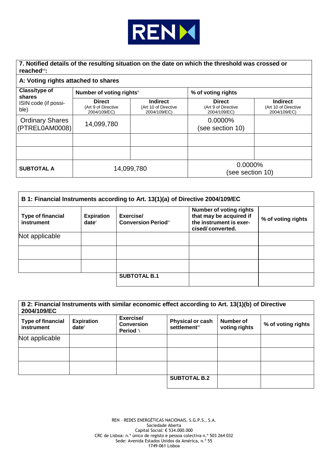

**7. Notified details of the resulting situation on the date on which the threshold was crossed or reached**viii**:**

### **A: Voting rights attached to shares**

| Class/type of<br>shares<br>ISIN code (if possi-<br>ble) | Number of voting rights <sup>ix</sup>                |                                                         | % of voting rights                                   |                                                         |
|---------------------------------------------------------|------------------------------------------------------|---------------------------------------------------------|------------------------------------------------------|---------------------------------------------------------|
|                                                         | <b>Direct</b><br>(Art 9 of Directive<br>2004/109/EC) | <b>Indirect</b><br>(Art 10 of Directive<br>2004/109/EC) | <b>Direct</b><br>(Art 9 of Directive<br>2004/109/EC) | <b>Indirect</b><br>(Art 10 of Directive<br>2004/109/EC) |
| <b>Ordinary Shares</b><br>(PTREL0AM0008)                | 14,099,780                                           |                                                         | 0.0000%<br>(see section 10)                          |                                                         |
|                                                         |                                                      |                                                         |                                                      |                                                         |
|                                                         |                                                      |                                                         |                                                      |                                                         |
| <b>SUBTOTAL A</b>                                       | 14,099,780                                           |                                                         | 0.0000%<br>(see section 10)                          |                                                         |

| B 1: Financial Instruments according to Art. 13(1)(a) of Directive 2004/109/EC |                                                    |                                                     |                                                                                                          |                    |  |  |
|--------------------------------------------------------------------------------|----------------------------------------------------|-----------------------------------------------------|----------------------------------------------------------------------------------------------------------|--------------------|--|--|
| Type of financial<br>instrument                                                | <b>Expiration</b><br>$date^{\scriptscriptstyle x}$ | Exercise/<br><b>Conversion Period</b> <sup>xi</sup> | <b>Number of voting rights</b><br>that may be acquired if<br>the instrument is exer-<br>cised/converted. | % of voting rights |  |  |
| Not applicable                                                                 |                                                    |                                                     |                                                                                                          |                    |  |  |
|                                                                                |                                                    |                                                     |                                                                                                          |                    |  |  |
|                                                                                |                                                    |                                                     |                                                                                                          |                    |  |  |
|                                                                                |                                                    | <b>SUBTOTAL B.1</b>                                 |                                                                                                          |                    |  |  |

| 2004/109/EC<br><b>Type of financial</b><br>instrument | <b>Expiration</b><br>$date^{\scriptscriptstyle\times}$ | Exercise/<br><b>Conversion</b><br>Period *i | <b>Physical or cash</b><br>settlement <sup>xii</sup> | Number of<br>voting rights | % of voting rights |
|-------------------------------------------------------|--------------------------------------------------------|---------------------------------------------|------------------------------------------------------|----------------------------|--------------------|
| Not applicable                                        |                                                        |                                             |                                                      |                            |                    |
|                                                       |                                                        |                                             |                                                      |                            |                    |
|                                                       |                                                        |                                             |                                                      |                            |                    |
|                                                       |                                                        |                                             | <b>SUBTOTAL B.2</b>                                  |                            |                    |

REN – REDES ENERGÉTICAS NACIONAIS, S.G.P.S., S.A. Sociedade Aberta Capital Social: € 534.000.000 CRC de Lisboa: n.º único de registo e pessoa colectiva n.º 503 264 032 Sede: Avenida Estados Unidos da América, n.º 55 1749-061 Lisboa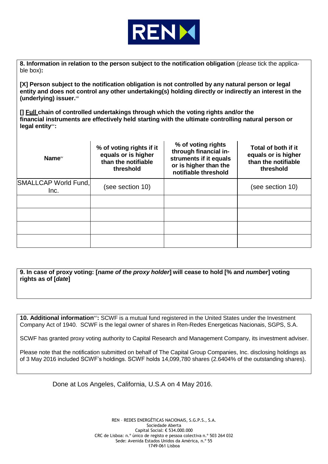

**8. Information in relation to the person subject to the notification obligation** (please tick the applicable box)**:**

**[X] Person subject to the notification obligation is not controlled by any natural person or legal entity and does not control any other undertaking(s) holding directly or indirectly an interest in the (underlying) issuer.**xiii

**[] Full chain of controlled undertakings through which the voting rights and/or the financial instruments are effectively held starting with the ultimate controlling natural person or legal entity**xiv**:**

| Name <sup>xv</sup>           | % of voting rights if it<br>equals or is higher<br>than the notifiable<br>threshold | % of voting rights<br>through financial in-<br>struments if it equals<br>or is higher than the<br>notifiable threshold | Total of both if it<br>equals or is higher<br>than the notifiable<br>threshold |
|------------------------------|-------------------------------------------------------------------------------------|------------------------------------------------------------------------------------------------------------------------|--------------------------------------------------------------------------------|
| SMALLCAP World Fund,<br>Inc. | (see section 10)                                                                    |                                                                                                                        | (see section 10)                                                               |
|                              |                                                                                     |                                                                                                                        |                                                                                |
|                              |                                                                                     |                                                                                                                        |                                                                                |
|                              |                                                                                     |                                                                                                                        |                                                                                |
|                              |                                                                                     |                                                                                                                        |                                                                                |

**9. In case of proxy voting: [***name of the proxy holder***] will cease to hold [% and** *number***] voting rights as of [***date***]**

**10. Additional information**xvi**:** SCWF is a mutual fund registered in the United States under the Investment Company Act of 1940. SCWF is the legal owner of shares in Ren-Redes Energeticas Nacionais, SGPS, S.A.

SCWF has granted proxy voting authority to Capital Research and Management Company, its investment adviser.

Please note that the notification submitted on behalf of The Capital Group Companies, Inc. disclosing holdings as of 3 May 2016 included SCWF's holdings. SCWF holds 14,099,780 shares (2.6404% of the outstanding shares).

Done at Los Angeles, California, U.S.A on 4 May 2016.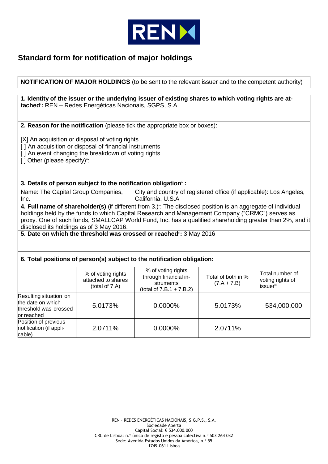

## **Standard form for notification of major holdings**

## **NOTIFICATION OF MAJOR HOLDINGS** (to be sent to the relevant issuer and to the competent authority)<sup>i</sup>

|                                                                                                                                                                                                                                                                                                                                                                                                                                                                        | tached <sup>®</sup> : REN - Redes Energéticas Nacionais, SGPS, S.A.        | 1. Identity of the issuer or the underlying issuer of existing shares to which voting rights are at- |                                     |                                                              |  |  |  |
|------------------------------------------------------------------------------------------------------------------------------------------------------------------------------------------------------------------------------------------------------------------------------------------------------------------------------------------------------------------------------------------------------------------------------------------------------------------------|----------------------------------------------------------------------------|------------------------------------------------------------------------------------------------------|-------------------------------------|--------------------------------------------------------------|--|--|--|
|                                                                                                                                                                                                                                                                                                                                                                                                                                                                        |                                                                            | 2. Reason for the notification (please tick the appropriate box or boxes):                           |                                     |                                                              |  |  |  |
| [X] An acquisition or disposal of voting rights<br>[] An acquisition or disposal of financial instruments<br>[] An event changing the breakdown of voting rights<br>[] Other (please specify)":                                                                                                                                                                                                                                                                        |                                                                            |                                                                                                      |                                     |                                                              |  |  |  |
|                                                                                                                                                                                                                                                                                                                                                                                                                                                                        | 3. Details of person subject to the notification obligation <sup>®</sup> : |                                                                                                      |                                     |                                                              |  |  |  |
| Name: The Capital Group Companies,<br>Inc.                                                                                                                                                                                                                                                                                                                                                                                                                             |                                                                            | City and country of registered office (if applicable): Los Angeles,<br>California, U.S.A             |                                     |                                                              |  |  |  |
| 4. Full name of shareholder(s) (if different from 3.) <sup>v</sup> : The disclosed position is an aggregate of individual<br>holdings held by the funds to which Capital Research and Management Company ("CRMC") serves as<br>proxy. One of such funds, SMALLCAP World Fund, Inc. has a qualified shareholding greater than 2%, and it<br>disclosed its holdings as of 3 May 2016.<br>5. Date on which the threshold was crossed or reached <sup>*</sup> : 3 May 2016 |                                                                            |                                                                                                      |                                     |                                                              |  |  |  |
|                                                                                                                                                                                                                                                                                                                                                                                                                                                                        |                                                                            |                                                                                                      |                                     |                                                              |  |  |  |
|                                                                                                                                                                                                                                                                                                                                                                                                                                                                        |                                                                            | 6. Total positions of person(s) subject to the notification obligation:                              |                                     |                                                              |  |  |  |
|                                                                                                                                                                                                                                                                                                                                                                                                                                                                        | % of voting rights<br>attached to shares<br>(total of 7.A)                 | % of voting rights<br>through financial in-<br>struments<br>(total of $7.B.1 + 7.B.2$ )              | Total of both in %<br>$(7.A + 7.B)$ | Total number of<br>voting rights of<br>issuer <sup>vii</sup> |  |  |  |
| Resulting situation on<br>the date on which<br>threshold was crossed<br>or reached                                                                                                                                                                                                                                                                                                                                                                                     | 5.0173%<br>0.0000%<br>5.0173%<br>534,000,000                               |                                                                                                      |                                     |                                                              |  |  |  |
| Position of previous<br>notification (if appli-<br>cable)                                                                                                                                                                                                                                                                                                                                                                                                              | 2.0711%                                                                    | 0.0000%                                                                                              | 2.0711%                             |                                                              |  |  |  |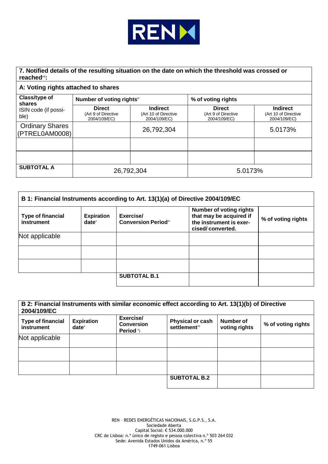

### **7. Notified details of the resulting situation on the date on which the threshold was crossed or reached**viii**:**

#### **A: Voting rights attached to shares**

| Class/type of<br>shares<br>ISIN code (if possi-<br>ble) | Number of voting rights <sup>ix</sup>                |                                                         | % of voting rights                                   |                                                         |
|---------------------------------------------------------|------------------------------------------------------|---------------------------------------------------------|------------------------------------------------------|---------------------------------------------------------|
|                                                         | <b>Direct</b><br>(Art 9 of Directive<br>2004/109/EC) | <b>Indirect</b><br>(Art 10 of Directive<br>2004/109/EC) | <b>Direct</b><br>(Art 9 of Directive<br>2004/109/EC) | <b>Indirect</b><br>(Art 10 of Directive<br>2004/109/EC) |
| <b>Ordinary Shares</b><br>(PTREL0AM0008)                |                                                      | 26,792,304                                              |                                                      | 5.0173%                                                 |
|                                                         |                                                      |                                                         |                                                      |                                                         |
|                                                         |                                                      |                                                         |                                                      |                                                         |
| <b>SUBTOTAL A</b>                                       | 26,792,304                                           |                                                         | 5.0173%                                              |                                                         |

| B 1: Financial Instruments according to Art. 13(1)(a) of Directive 2004/109/EC |                                                        |                                          |                                                                                                          |                    |  |  |
|--------------------------------------------------------------------------------|--------------------------------------------------------|------------------------------------------|----------------------------------------------------------------------------------------------------------|--------------------|--|--|
| <b>Type of financial</b><br>instrument                                         | <b>Expiration</b><br>$date^{\scriptscriptstyle\times}$ | Exercise/<br><b>Conversion Period</b> xi | <b>Number of voting rights</b><br>that may be acquired if<br>the instrument is exer-<br>cised/converted. | % of voting rights |  |  |
| Not applicable                                                                 |                                                        |                                          |                                                                                                          |                    |  |  |
|                                                                                |                                                        |                                          |                                                                                                          |                    |  |  |
|                                                                                |                                                        |                                          |                                                                                                          |                    |  |  |
|                                                                                |                                                        | <b>SUBTOTAL B.1</b>                      |                                                                                                          |                    |  |  |

| B 2: Financial Instruments with similar economic effect according to Art. 13(1)(b) of Directive<br>2004/109/EC |                               |                                             |                                                             |                            |                    |
|----------------------------------------------------------------------------------------------------------------|-------------------------------|---------------------------------------------|-------------------------------------------------------------|----------------------------|--------------------|
| <b>Type of financial</b><br>instrument                                                                         | <b>Expiration</b><br>$date^x$ | Exercise/<br><b>Conversion</b><br>Period *i | <b>Physical or cash</b><br><b>settlement</b> <sup>xii</sup> | Number of<br>voting rights | % of voting rights |
| Not applicable                                                                                                 |                               |                                             |                                                             |                            |                    |
|                                                                                                                |                               |                                             |                                                             |                            |                    |
|                                                                                                                |                               |                                             |                                                             |                            |                    |
|                                                                                                                |                               |                                             | <b>SUBTOTAL B.2</b>                                         |                            |                    |

REN – REDES ENERGÉTICAS NACIONAIS, S.G.P.S., S.A. Sociedade Aberta Capital Social: € 534.000.000 CRC de Lisboa: n.º único de registo e pessoa colectiva n.º 503 264 032 Sede: Avenida Estados Unidos da América, n.º 55 1749-061 Lisboa